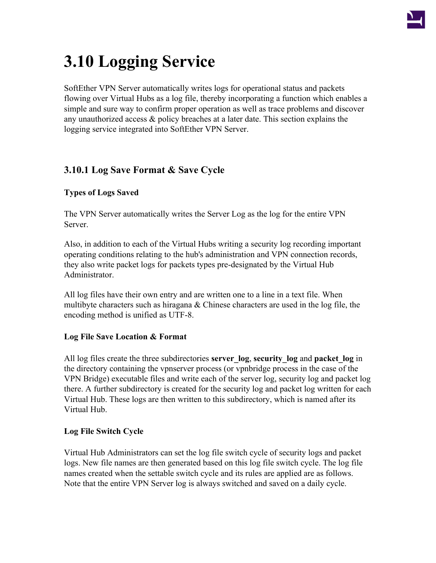

# **3.10 Logging Service**

SoftEther VPN Server automatically writes logs for operational status and packets flowing over Virtual Hubs as a log file, thereby incorporating a function which enables a simple and sure way to confirm proper operation as well as trace problems and discover any unauthorized access & policy breaches at a later date. This section explains the logging service integrated into SoftEther VPN Server.

# **3.10.1 Log Save Format & Save Cycle**

#### **Types of Logs Saved**

The VPN Server automatically writes the Server Log as the log for the entire VPN Server.

Also, in addition to each of the Virtual Hubs writing a security log recording important operating conditions relating to the hub's administration and VPN connection records, they also write packet logs for packets types pre-designated by the Virtual Hub Administrator.

All log files have their own entry and are written one to a line in a text file. When multibyte characters such as hiragana  $&$  Chinese characters are used in the log file, the encoding method is unified as UTF-8.

#### **Log File Save Location & Format**

All log files create the three subdirectories **server\_log**, **security\_log** and **packet\_log** in the directory containing the vpnserver process (or vpnbridge process in the case of the VPN Bridge) executable files and write each of the server log, security log and packet log there. A further subdirectory is created for the security log and packet log written for each Virtual Hub. These logs are then written to this subdirectory, which is named after its Virtual Hub.

#### **Log File Switch Cycle**

Virtual Hub Administrators can set the log file switch cycle of security logs and packet logs. New file names are then generated based on this log file switch cycle. The log file names created when the settable switch cycle and its rules are applied are as follows. Note that the entire VPN Server log is always switched and saved on a daily cycle.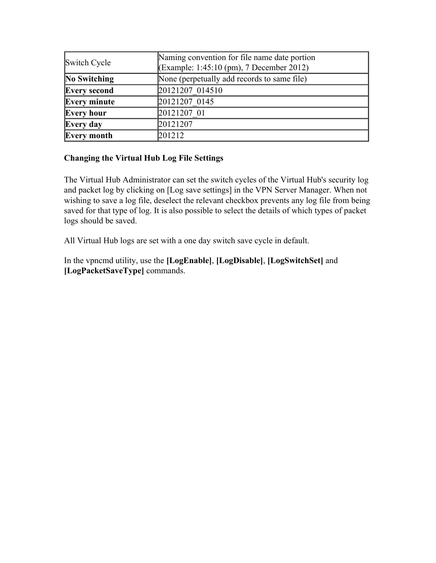| Switch Cycle        | Naming convention for file name date portion<br>(Example: 1:45:10 (pm), 7 December 2012) |  |
|---------------------|------------------------------------------------------------------------------------------|--|
| No Switching        | None (perpetually add records to same file)                                              |  |
| <b>Every second</b> | 20121207 014510                                                                          |  |
| Every minute        | 20121207 0145                                                                            |  |
| <b>Every hour</b>   | 20121207 01                                                                              |  |
| Every day           | 20121207                                                                                 |  |
| Every month         | 201212                                                                                   |  |

#### **Changing the Virtual Hub Log File Settings**

The Virtual Hub Administrator can set the switch cycles of the Virtual Hub's security log and packet log by clicking on [Log save settings] in the VPN Server Manager. When not wishing to save a log file, deselect the relevant checkbox prevents any log file from being saved for that type of log. It is also possible to select the details of which types of packet logs should be saved.

All Virtual Hub logs are set with a one day switch save cycle in default.

In the vpncmd utility, use the **[LogEnable]**, **[LogDisable]**, **[LogSwitchSet]** and **[LogPacketSaveType]** commands.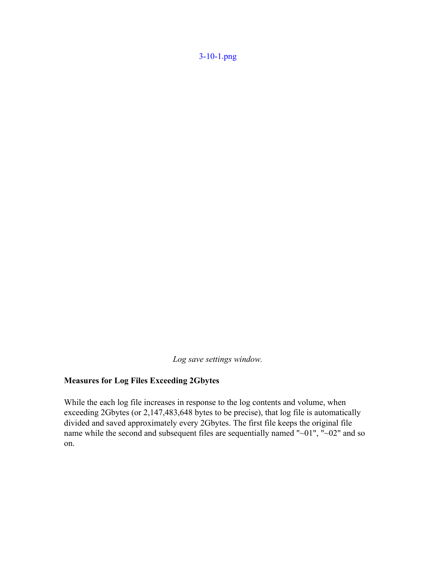[3-10-1.png](http://www.softether.org/@api/deki/files/236/=3-10-1.png)

*Log save settings window.*

### **Measures for Log Files Exceeding 2Gbytes**

While the each log file increases in response to the log contents and volume, when exceeding 2Gbytes (or 2,147,483,648 bytes to be precise), that log file is automatically divided and saved approximately every 2Gbytes. The first file keeps the original file name while the second and subsequent files are sequentially named "~01", "~02" and so on.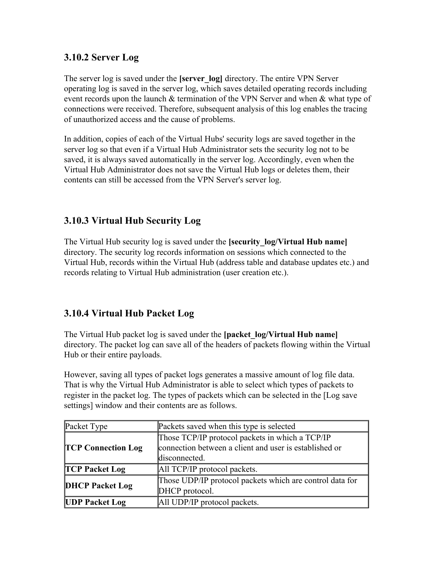## **3.10.2 Server Log**

The server log is saved under the **[server\_log]** directory. The entire VPN Server operating log is saved in the server log, which saves detailed operating records including event records upon the launch & termination of the VPN Server and when & what type of connections were received. Therefore, subsequent analysis of this log enables the tracing of unauthorized access and the cause of problems.

In addition, copies of each of the Virtual Hubs' security logs are saved together in the server log so that even if a Virtual Hub Administrator sets the security log not to be saved, it is always saved automatically in the server log. Accordingly, even when the Virtual Hub Administrator does not save the Virtual Hub logs or deletes them, their contents can still be accessed from the VPN Server's server log.

# **3.10.3 Virtual Hub Security Log**

The Virtual Hub security log is saved under the **[security\_log/Virtual Hub name]** directory. The security log records information on sessions which connected to the Virtual Hub, records within the Virtual Hub (address table and database updates etc.) and records relating to Virtual Hub administration (user creation etc.).

# **3.10.4 Virtual Hub Packet Log**

The Virtual Hub packet log is saved under the **[packet\_log/Virtual Hub name]** directory. The packet log can save all of the headers of packets flowing within the Virtual Hub or their entire payloads.

However, saving all types of packet logs generates a massive amount of log file data. That is why the Virtual Hub Administrator is able to select which types of packets to register in the packet log. The types of packets which can be selected in the [Log save settings] window and their contents are as follows.

| Packet Type               | Packets saved when this type is selected                                                                                   |  |
|---------------------------|----------------------------------------------------------------------------------------------------------------------------|--|
| <b>TCP Connection Log</b> | Those TCP/IP protocol packets in which a TCP/IP<br>connection between a client and user is established or<br>disconnected. |  |
| <b>TCP Packet Log</b>     | All TCP/IP protocol packets.                                                                                               |  |
| <b>DHCP Packet Log</b>    | Those UDP/IP protocol packets which are control data for<br>DHCP protocol.                                                 |  |
| <b>UDP Packet Log</b>     | All UDP/IP protocol packets.                                                                                               |  |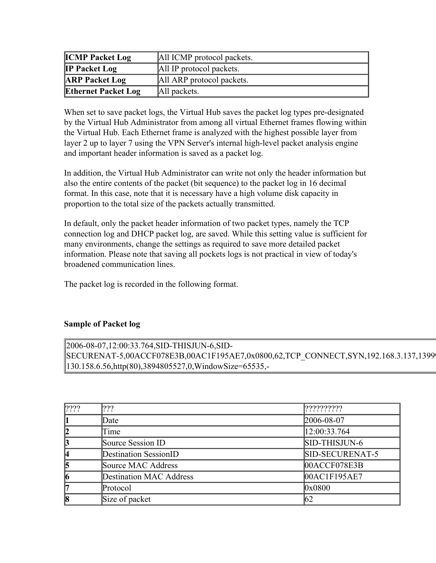| <b>ICMP Packet Log</b>     | All ICMP protocol packets. |  |
|----------------------------|----------------------------|--|
| <b>IP Packet Log</b>       | All IP protocol packets.   |  |
| <b>ARP Packet Log</b>      | All ARP protocol packets.  |  |
| <b>Ethernet Packet Log</b> | All packets.               |  |

When set to save packet logs, the Virtual Hub saves the packet log types pre-designated by the Virtual Hub Administrator from among all virtual Ethernet frames flowing within the Virtual Hub. Each Ethernet frame is analyzed with the highest possible layer from layer 2 up to layer 7 using the VPN Server's internal high-level packet analysis engine and important header information is saved as a packet log.

In addition, the Virtual Hub Administrator can write not only the header information but also the entire contents of the packet (bit sequence) to the packet log in 16 decimal format. In this case, note that it is necessary have a high volume disk capacity in proportion to the total size of the packets actually transmitted.

In default, only the packet header information of two packet types, namely the TCP connection log and DHCP packet log, are saved. While this setting value is sufficient for many environments, change the settings as required to save more detailed packet information. Please note that saving all pockets logs is not practical in view of today's broadened communication lines.

The packet log is recorded in the following format.

#### **Sample of Packet log**

2006-08-07,12:00:33.764,SID-THISJUN-6,SID-SECURENAT-5,00ACCF078E3B,00AC1F195AE7,0x0800,62,TCP\_CONNECT,SYN,192.168.3.137,13999, 130.158.6.56,http(80),3894805527,0,WindowSize=65535,-

| 2222                 | 2??                            | [?????????      |
|----------------------|--------------------------------|-----------------|
| 11                   | Date                           | 2006-08-07      |
| 12                   | Time                           | 12:00:33.764    |
| $\boldsymbol{\beta}$ | Source Session ID              | SID-THISJUN-6   |
| 14                   | Destination SessionID          | SID-SECURENAT-5 |
| 5                    | Source MAC Address             | 00ACCF078E3B    |
| 6                    | <b>Destination MAC Address</b> | 00AC1F195AE7    |
| 17                   | Protocol                       | 0x0800          |
| 8                    | Size of packet                 | 162             |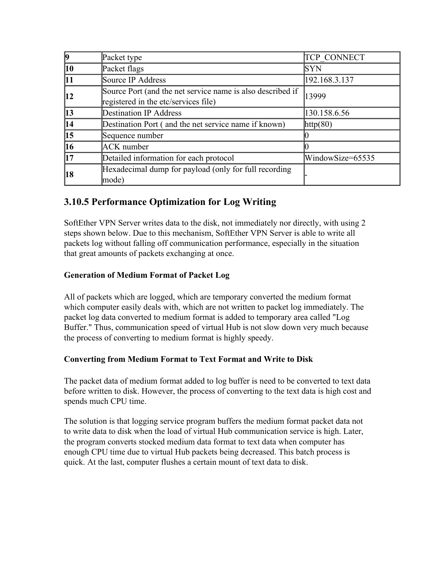|               | Packet type                                                                                        | <b>TCP CONNECT</b> |
|---------------|----------------------------------------------------------------------------------------------------|--------------------|
| 10            | Packet flags                                                                                       | <b>SYN</b>         |
| <b>11</b>     | Source IP Address                                                                                  | 192.168.3.137      |
| 12            | Source Port (and the net service name is also described if<br>registered in the etc/services file) | 13999              |
| <b>13</b>     | <b>Destination IP Address</b>                                                                      | 130.158.6.56       |
| 14            | Destination Port (and the net service name if known)                                               | $\text{http(80)}$  |
| $\vert$ 15    | Sequence number                                                                                    |                    |
| <b>16</b>     | ACK number                                                                                         |                    |
| $\mathbf{17}$ | Detailed information for each protocol                                                             | WindowSize=65535   |
| 18            | Hexadecimal dump for payload (only for full recording<br>mode)                                     |                    |

# **3.10.5 Performance Optimization for Log Writing**

SoftEther VPN Server writes data to the disk, not immediately nor directly, with using 2 steps shown below. Due to this mechanism, SoftEther VPN Server is able to write all packets log without falling off communication performance, especially in the situation that great amounts of packets exchanging at once.

## **Generation of Medium Format of Packet Log**

All of packets which are logged, which are temporary converted the medium format which computer easily deals with, which are not written to packet log immediately. The packet log data converted to medium format is added to temporary area called "Log Buffer." Thus, communication speed of virtual Hub is not slow down very much because the process of converting to medium format is highly speedy.

#### **Converting from Medium Format to Text Format and Write to Disk**

The packet data of medium format added to log buffer is need to be converted to text data before written to disk. However, the process of converting to the text data is high cost and spends much CPU time.

The solution is that logging service program buffers the medium format packet data not to write data to disk when the load of virtual Hub communication service is high. Later, the program converts stocked medium data format to text data when computer has enough CPU time due to virtual Hub packets being decreased. This batch process is quick. At the last, computer flushes a certain mount of text data to disk.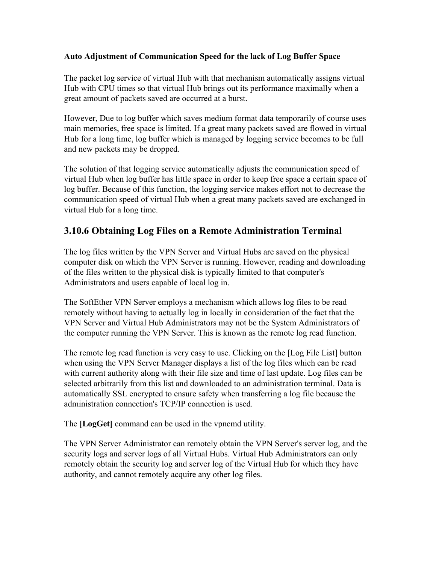#### **Auto Adjustment of Communication Speed for the lack of Log Buffer Space**

The packet log service of virtual Hub with that mechanism automatically assigns virtual Hub with CPU times so that virtual Hub brings out its performance maximally when a great amount of packets saved are occurred at a burst.

However, Due to log buffer which saves medium format data temporarily of course uses main memories, free space is limited. If a great many packets saved are flowed in virtual Hub for a long time, log buffer which is managed by logging service becomes to be full and new packets may be dropped.

The solution of that logging service automatically adjusts the communication speed of virtual Hub when log buffer has little space in order to keep free space a certain space of log buffer. Because of this function, the logging service makes effort not to decrease the communication speed of virtual Hub when a great many packets saved are exchanged in virtual Hub for a long time.

## **3.10.6 Obtaining Log Files on a Remote Administration Terminal**

The log files written by the VPN Server and Virtual Hubs are saved on the physical computer disk on which the VPN Server is running. However, reading and downloading of the files written to the physical disk is typically limited to that computer's Administrators and users capable of local log in.

The SoftEther VPN Server employs a mechanism which allows log files to be read remotely without having to actually log in locally in consideration of the fact that the VPN Server and Virtual Hub Administrators may not be the System Administrators of the computer running the VPN Server. This is known as the remote log read function.

The remote log read function is very easy to use. Clicking on the [Log File List] button when using the VPN Server Manager displays a list of the log files which can be read with current authority along with their file size and time of last update. Log files can be selected arbitrarily from this list and downloaded to an administration terminal. Data is automatically SSL encrypted to ensure safety when transferring a log file because the administration connection's TCP/IP connection is used.

The **[LogGet]** command can be used in the vpncmd utility.

The VPN Server Administrator can remotely obtain the VPN Server's server log, and the security logs and server logs of all Virtual Hubs. Virtual Hub Administrators can only remotely obtain the security log and server log of the Virtual Hub for which they have authority, and cannot remotely acquire any other log files.